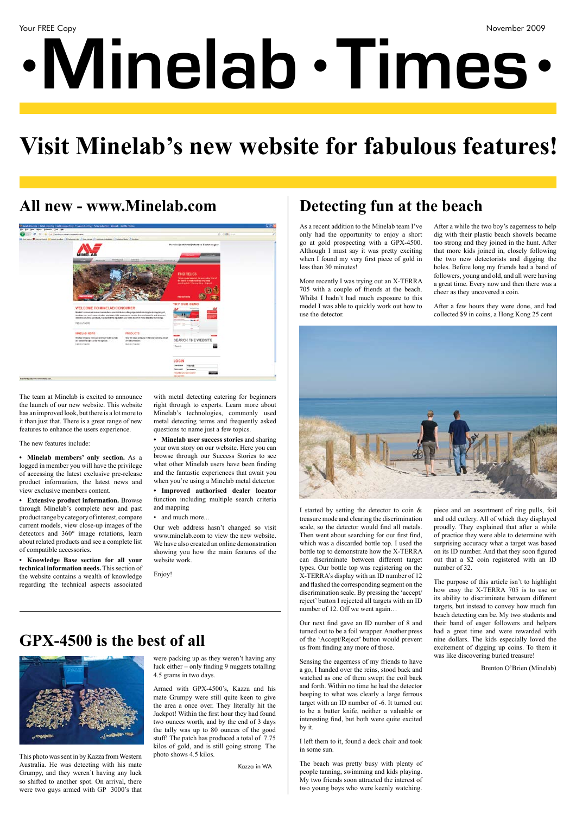# **•Minelab Times • •**

## **Visit Minelab's new website for fabulous features!**

#### All new - www.Minelab.com **Detecting fun at the beach**



#### **GPX-4500 is the best of all**



This photo was sent in by Kazza from Western Australia. He was detecting with his mate Grumpy, and they weren't having any luck so shifted to another spot. On arrival, there were two guys armed with GP 3000's that

were packing up as they weren't having any luck either – only finding 9 nuggets totalling 4.5 grams in two days.

Armed with GPX-4500's, Kazza and his mate Grumpy were still quite keen to give the area a once over. They literally hit the Jackpot! Within the first hour they had found two ounces worth, and by the end of 3 days the tally was up to 80 ounces of the good stuff! The patch has produced a total of 7.75 kilos of gold, and is still going strong. The photo shows 4.5 kilos.

The team at Minelab is excited to announce the launch of our new website. This website has an improved look, but there is a lot more to it than just that. There is a great range of new features to enhance the users experience.

The new features include:

**• Minelab members' only section.** As a logged in member you will have the privilege of accessing the latest exclusive pre-release product information, the latest news and view exclusive members content.

**• Extensive product information.** Browse through Minelab's complete new and past product range by category of interest, compare current models, view close-up images of the detectors and 360° image rotations, learn about related products and see a complete list of compatible accessories.

I started by setting the detector to coin & treasure mode and clearing the discrimination scale, so the detector would find all metals. Then went about searching for our first find, which was a discarded bottle top. I used the bottle top to demonstrate how the X-TERRA can discriminate between different target types. Our bottle top was registering on the X-TERRA's display with an ID number of 12 and flashed the corresponding segment on the discrimination scale. By pressing the 'accept/ reject' button I rejected all targets with an ID number of 12. Off we went again...

**• Knowledge Base section for all your technical information needs.** This section of the website contains a wealth of knowledge regarding the technical aspects associated

with metal detecting catering for beginners right through to experts. Learn more about Minelab's technologies, commonly used metal detecting terms and frequently asked questions to name just a few topics.

**• Minelab user success stories** and sharing your own story on our website. Here you can browse through our Success Stories to see what other Minelab users have been finding and the fantastic experiences that await you when you're using a Minelab metal detector.

**• Improved authorised dealer locator**  function including multiple search criteria and mapping

• and much more...

Our web address hasn't changed so visit www.minelab.com to view the new website. We have also created an online demonstration showing you how the main features of the website work.

Enjoy!

As a recent addition to the Minelab team I've only had the opportunity to enjoy a short go at gold prospecting with a GPX-4500. Although I must say it was pretty exciting when I found my very first piece of gold in less than 30 minutes!

More recently I was trying out an X-TERRA 705 with a couple of friends at the beach. Whilst I hadn't had much exposure to this model I was able to quickly work out how to use the detector.

Our next find gave an ID number of 8 and turned out to be a foil wrapper. Another press of the 'Accept/Reject' button would prevent us from finding any more of those.

Sensing the eagerness of my friends to have a go, I handed over the reins, stood back and watched as one of them swept the coil back and forth. Within no time he had the detector beeping to what was clearly a large ferrous target with an ID number of -6. It turned out to be a butter knife, neither a valuable or interesting find, but both were quite excited by it.

I left them to it, found a deck chair and took in some sun.

The beach was pretty busy with plenty of people tanning, swimming and kids playing. My two friends soon attracted the interest of two young boys who were keenly watching.

After a while the two boy's eagerness to help dig with their plastic beach shovels became too strong and they joined in the hunt. After that more kids joined in, closely following the two new detectorists and digging the holes. Before long my friends had a band of followers, young and old, and all were having a great time. Every now and then there was a cheer as they uncovered a coin.

After a few hours they were done, and had collected \$9 in coins, a Hong Kong 25 cent



piece and an assortment of ring pulls, foil and odd cutlery. All of which they displayed proudly. They explained that after a while of practice they were able to determine with surprising accuracy what a target was based on its ID number. And that they soon figured out that a \$2 coin registered with an ID number of 32.

The purpose of this article isn't to highlight how easy the X-TERRA 705 is to use or its ability to discriminate between different targets, but instead to convey how much fun beach detecting can be. My two students and their band of eager followers and helpers had a great time and were rewarded with nine dollars. The kids especially loved the excitement of digging up coins. To them it was like discovering buried treasure!

Brenton O'Brien (Minelab)

Kazza in WA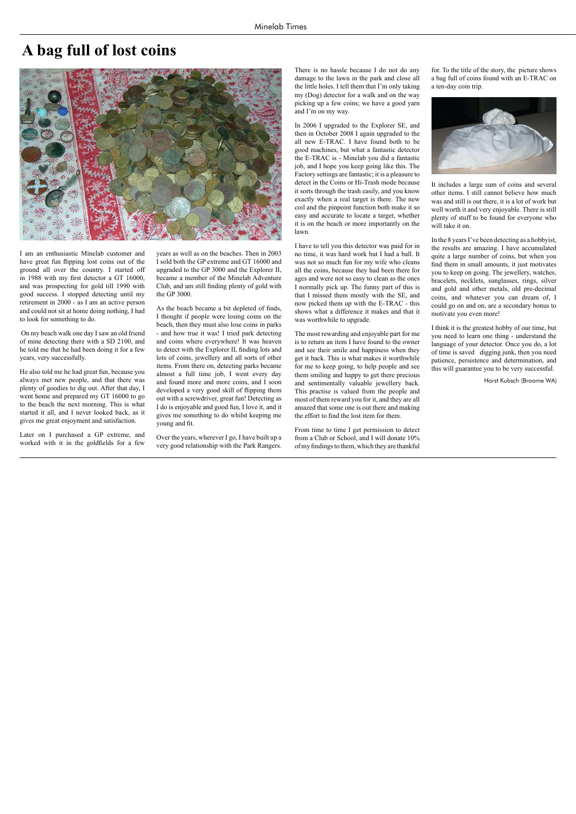I am an enthusiastic Minelab customer and have great fun flipping lost coins out of the ground all over the country. I started off in 1988 with my first detector a GT 16000, and was prospecting for gold till 1990 with good success. I stopped detecting until my retirement in 2000 - as I am an active person and could not sit at home doing nothing, I had to look for something to do.

 On my beach walk one day I saw an old friend of mine detecting there with a SD 2100, and he told me that he had been doing it for a few years, very successfully.

He also told me he had great fun, because you always met new people, and that there was plenty of goodies to dig out. After that day, I went home and prepared my GT 16000 to go to the beach the next morning. This is what started it all, and I never looked back, as it gives me great enjoyment and satisfaction.

Later on I purchased a GP extreme, and worked with it in the goldfields for a few

years as well as on the beaches. Then in 2003 I sold both the GP extreme and GT 16000 and upgraded to the GP 3000 and the Explorer II, became a member of the Minelab Adventure Club, and am still finding plenty of gold with the GP 3000.

As the beach became a bit depleted of finds, I thought if people were losing coins on the beach, then they must also lose coins in parks - and how true it was! I tried park detecting and coins where everywhere! It was heaven to detect with the Explorer II, finding lots and lots of coins, jewellery and all sorts of other items. From there on, detecting parks became almost a full time job, I went every day and found more and more coins, and I soon developed a very good skill of flipping them out with a screwdriver, great fun! Detecting as I do is enjoyable and good fun, I love it, and it gives me something to do whilst keeping me young and fit.

Over the years, wherever I go, I have built up a very good relationship with the Park Rangers.

There is no hassle because I do not do any damage to the lawn in the park and close all the little holes. I tell them that I'm only taking my (Dog) detector for a walk and on the way picking up a few coins; we have a good yarn and I'm on my way.

In 2006 I upgraded to the Explorer SE, and then in October 2008 I again upgraded to the all new E-TRAC. I have found both to be good machines, but what a fantastic detector the E-TRAC is - Minelab you did a fantastic job, and I hope you keep going like this. The Factory settings are fantastic; it is a pleasure to detect in the Coins or Hi-Trash mode because it sorts through the trash easily, and you know exactly when a real target is there. The new coil and the pinpoint function both make it so easy and accurate to locate a target, whether it is on the beach or more importantly on the lawn.

I have to tell you this detector was paid for in no time, it was hard work but I had a ball. It was not so much fun for my wife who cleans all the coins, because they had been there for ages and were not so easy to clean as the ones I normally pick up. The funny part of this is that I missed them mostly with the SE, and now picked them up with the E-TRAC - this shows what a difference it makes and that it was worthwhile to upgrade.

The most rewarding and enjoyable part for me is to return an item I have found to the owner and see their smile and happiness when they get it back. This is what makes it worthwhile for me to keep going, to help people and see them smiling and happy to get there precious and sentimentally valuable jewellery back. This practise is valued from the people and most of them reward you for it, and they are all amazed that some one is out there and making the effort to find the lost item for them.

From time to time I get permission to detect from a Club or School, and I will donate 10% of my findings to them, which they are thankful

for. To the title of the story, the picture shows a bag full of coins found with an E-TRAC on a ten-day coin trip.



It includes a large sum of coins and several other items. I still cannot believe how much was and still is out there, it is a lot of work but well worth it and very enjoyable. There is still plenty of stuff to be found for everyone who will take it on.

In the 8 years I've been detecting as a hobbyist, the results are amazing. I have accumulated quite a large number of coins, but when you find them in small amounts, it just motivates you to keep on going. The jewellery, watches, bracelets, necklets, sunglasses, rings, silver and gold and other metals, old pre-decimal coins, and whatever you can dream of, I could go on and on, are a secondary bonus to motivate you even more!

I think it is the greatest hobby of our time, but you need to learn one thing - understand the language of your detector. Once you do, a lot of time is saved digging junk, then you need patience, persistence and determination, and this will guarantee you to be very successful.

#### **A bag full of lost coins**



Horst Kubsch (Broome WA)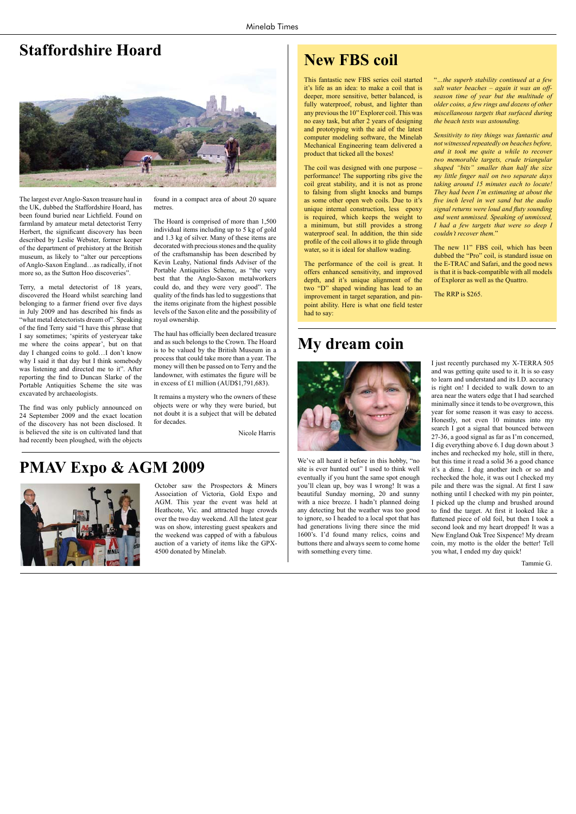This fantastic new FBS series coil started it's life as an idea: to make a coil that is deeper, more sensitive, better balanced, is fully waterproof, robust, and lighter than any previous the 10" Explorer coil. This was no easy task, but after 2 years of designing and prototyping with the aid of the latest computer modeling software, the Minelab Mechanical Engineering team delivered a product that ticked all the boxes!

The coil was designed with one purpose – performance! The supporting ribs give the coil great stability, and it is not as prone to falsing from slight knocks and bumps as some other open web coils. Due to it's unique internal construction, less epoxy is required, which keeps the weight to a minimum, but still provides a strong waterproof seal. In addition, the thin side profile of the coil allows it to glide through water, so it is ideal for shallow wading.

The performance of the coil is great. It offers enhanced sensitivity, and improved depth, and it's unique alignment of the two "D" shaped winding has lead to an improvement in target separation, and pinpoint ability. Here is what one field tester had to say:

The new 11" FBS coil, which has been dubbed the "Pro" coil, is standard issue on the E-TRAC and Safari, and the good news is that it is back-compatible with all models of Explorer as well as the Quattro.

"*…the superb stability continued at a few salt water beaches – again it was an offseason time of year but the multitude of older coins, a few rings and dozens of other miscellaneous targets that surfaced during the beach tests was astounding.* 

*Sensitivity to tiny things was fantastic and not witnessed repeatedly on beaches before, and it took me quite a while to recover two memorable targets, crude triangular shaped "bits" smaller than half the size my little finger nail on two separate days taking around 15 minutes each to locate! They had been I'm estimating at about the five inch level in wet sand but the audio signal returns were loud and fluty sounding and went unmissed. Speaking of unmissed, I had a few targets that were so deep I couldn't recover them.*"

The RRP is \$265.

#### **New FBS coil**

#### **PMAV Expo & AGM 2009**



October saw the Prospectors & Miners Association of Victoria, Gold Expo and AGM. This year the event was held at Heathcote, Vic. and attracted huge crowds over the two day weekend. All the latest gear was on show, interesting guest speakers and the weekend was capped of with a fabulous auction of a variety of items like the GPX-4500 donated by Minelab.

We've all heard it before in this hobby, "no site is ever hunted out" I used to think well eventually if you hunt the same spot enough you'll clean up, boy was I wrong! It was a beautiful Sunday morning, 20 and sunny with a nice breeze. I hadn't planned doing any detecting but the weather was too good to ignore, so I headed to a local spot that has had generations living there since the mid 1600's. I'd found many relics, coins and buttons there and always seem to come home with something every time.

I just recently purchased my X-TERRA 505 and was getting quite used to it. It is so easy to learn and understand and its I.D. accuracy is right on! I decided to walk down to an area near the waters edge that I had searched minimally since it tends to be overgrown, this year for some reason it was easy to access. Honestly, not even 10 minutes into my search I got a signal that bounced between 27-36, a good signal as far as I'm concerned, I dig everything above 6. I dug down about 3 inches and rechecked my hole, still in there, but this time it read a solid 36 a good chance it's a dime. I dug another inch or so and rechecked the hole, it was out I checked my pile and there was the signal. At first I saw nothing until I checked with my pin pointer, I picked up the clump and brushed around to find the target. At first it looked like a flattened piece of old foil, but then I took a second look and my heart dropped! It was a New England Oak Tree Sixpence! My dream coin, my motto is the older the better! Tell you what, I ended my day quick!

#### **My dream coin**



Tammie G.

Nicole Harris

The largest ever Anglo-Saxon treasure haul in the UK, dubbed the Staffordshire Hoard, has been found buried near Lichfield. Found on farmland by amateur metal detectorist Terry Herbert, the significant discovery has been described by Leslie Webster, former keeper of the department of prehistory at the British museum, as likely to "alter our perceptions of Anglo-Saxon England…as radically, if not more so, as the Sutton Hoo discoveries".

Terry, a metal detectorist of 18 years, discovered the Hoard whilst searching land belonging to a farmer friend over five days in July 2009 and has described his finds as "what metal detectorists dream of". Speaking of the find Terry said "I have this phrase that I say sometimes; 'spirits of yesteryear take me where the coins appear', but on that day I changed coins to gold…I don't know why I said it that day but I think somebody was listening and directed me to it". After reporting the find to Duncan Slarke of the Portable Antiquities Scheme the site was excavated by archaeologists.

The find was only publicly announced on 24 September 2009 and the exact location of the discovery has not been disclosed. It is believed the site is on cultivated land that had recently been ploughed, with the objects

found in a compact area of about 20 square metres.

The Hoard is comprised of more than 1,500 individual items including up to 5 kg of gold and 1.3 kg of silver. Many of these items are decorated with precious stones and the quality of the craftsmanship has been described by Kevin Leahy, National finds Adviser of the Portable Antiquities Scheme, as "the very best that the Anglo-Saxon metalworkers could do, and they were very good". The quality of the finds has led to suggestions that the items originate from the highest possible levels of the Saxon elite and the possibility of royal ownership.

The haul has officially been declared treasure and as such belongs to the Crown. The Hoard is to be valued by the British Museum in a process that could take more than a year. The money will then be passed on to Terry and the landowner, with estimates the figure will be in excess of £1 million (AUD\$1,791,683).

It remains a mystery who the owners of these objects were or why they were buried, but not doubt it is a subject that will be debated for decades.

#### **Staffordshire Hoard**